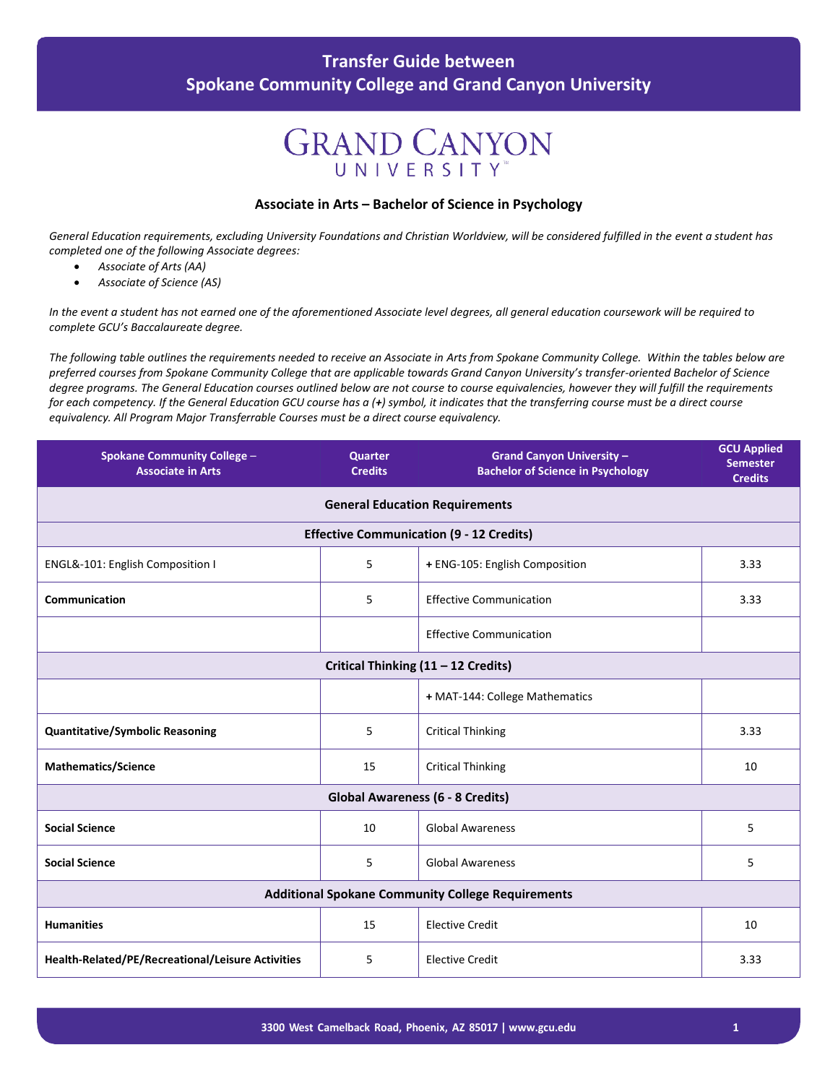#### **Transfer Guide between Spokane Community College and Grand Canyon University**

## **GRAND CANYON** UNIVERSITY

#### **Associate in Arts – Bachelor of Science in Psychology**

*General Education requirements, excluding University Foundations and Christian Worldview, will be considered fulfilled in the event a student has completed one of the following Associate degrees:*

- *Associate of Arts (AA)*
- *Associate of Science (AS)*

*In the event a student has not earned one of the aforementioned Associate level degrees, all general education coursework will be required to complete GCU's Baccalaureate degree.*

The following table outlines the requirements needed to receive an Associate in Arts from Spokane Community College. Within the tables below are *preferred courses from Spokane Community College that are applicable towards Grand Canyon University's transfer-oriented Bachelor of Science degree programs. The General Education courses outlined below are not course to course equivalencies, however they will fulfill the requirements for each competency. If the General Education GCU course has a (+) symbol, it indicates that the transferring course must be a direct course equivalency. All Program Major Transferrable Courses must be a direct course equivalency.*

| <b>Spokane Community College -</b><br><b>Associate in Arts</b> | <b>Quarter</b><br><b>Credits</b> | <b>Grand Canyon University -</b><br><b>Bachelor of Science in Psychology</b> | <b>GCU Applied</b><br><b>Semester</b><br><b>Credits</b> |  |  |
|----------------------------------------------------------------|----------------------------------|------------------------------------------------------------------------------|---------------------------------------------------------|--|--|
| <b>General Education Requirements</b>                          |                                  |                                                                              |                                                         |  |  |
|                                                                |                                  | <b>Effective Communication (9 - 12 Credits)</b>                              |                                                         |  |  |
| ENGL&-101: English Composition I                               | 5                                | + ENG-105: English Composition                                               | 3.33                                                    |  |  |
| <b>Communication</b>                                           | 5                                | <b>Effective Communication</b>                                               | 3.33                                                    |  |  |
|                                                                |                                  | <b>Effective Communication</b>                                               |                                                         |  |  |
| Critical Thinking (11 - 12 Credits)                            |                                  |                                                                              |                                                         |  |  |
|                                                                |                                  | + MAT-144: College Mathematics                                               |                                                         |  |  |
| <b>Quantitative/Symbolic Reasoning</b>                         | 5                                | <b>Critical Thinking</b>                                                     | 3.33                                                    |  |  |
| <b>Mathematics/Science</b>                                     | 15                               | <b>Critical Thinking</b>                                                     | 10                                                      |  |  |
| <b>Global Awareness (6 - 8 Credits)</b>                        |                                  |                                                                              |                                                         |  |  |
| <b>Social Science</b>                                          | 10                               | <b>Global Awareness</b>                                                      | 5                                                       |  |  |
| <b>Social Science</b>                                          | 5                                | <b>Global Awareness</b>                                                      | 5                                                       |  |  |
| <b>Additional Spokane Community College Requirements</b>       |                                  |                                                                              |                                                         |  |  |
| <b>Humanities</b>                                              | 15                               | <b>Elective Credit</b>                                                       | 10                                                      |  |  |
| Health-Related/PE/Recreational/Leisure Activities              | 5                                | <b>Elective Credit</b>                                                       | 3.33                                                    |  |  |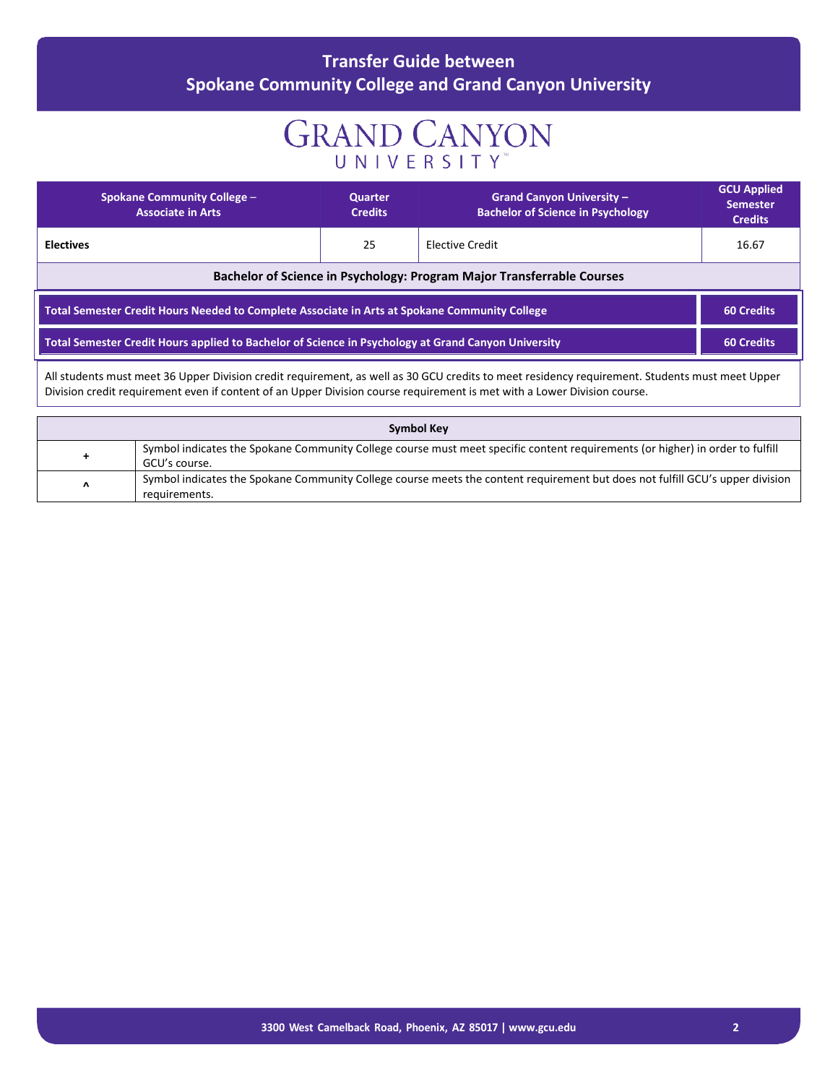### **Transfer Guide between Spokane Community College and Grand Canyon University**

# **GRAND CANYON** UNIVERSITY

| <b>Spokane Community College -</b><br><b>Associate in Arts</b>                                                                                 | <b>Quarter</b><br><b>Credits</b> | <b>Grand Canyon University -</b><br><b>Bachelor of Science in Psychology</b> | <b>GCU Applied</b><br><b>Semester</b><br><b>Credits</b> |
|------------------------------------------------------------------------------------------------------------------------------------------------|----------------------------------|------------------------------------------------------------------------------|---------------------------------------------------------|
| <b>Electives</b>                                                                                                                               | 25                               | Elective Credit                                                              | 16.67                                                   |
| Bachelor of Science in Psychology: Program Major Transferrable Courses                                                                         |                                  |                                                                              |                                                         |
| Total Semester Credit Hours Needed to Complete Associate in Arts at Spokane Community College<br><b>60 Credits</b>                             |                                  |                                                                              |                                                         |
| Total Semester Credit Hours applied to Bachelor of Science in Psychology at Grand Canyon University<br><b>60 Credits</b>                       |                                  |                                                                              |                                                         |
| All students must meet 36 Upper Division credit requirement, as well as 30 GCU credits to meet residency requirement. Students must meet Upper |                                  |                                                                              |                                                         |

All students must meet 36 Upper Division credit requirement, as well as 30 GCU credits to meet residency requirement. Students must meet Upper Division credit requirement even if content of an Upper Division course requirement is met with a Lower Division course.

| <b>Symbol Key</b> |                                                                                                                               |  |
|-------------------|-------------------------------------------------------------------------------------------------------------------------------|--|
| ٠                 | Symbol indicates the Spokane Community College course must meet specific content requirements (or higher) in order to fulfill |  |
|                   | GCU's course.                                                                                                                 |  |
| Λ                 | Symbol indicates the Spokane Community College course meets the content requirement but does not fulfill GCU's upper division |  |
|                   | requirements.                                                                                                                 |  |